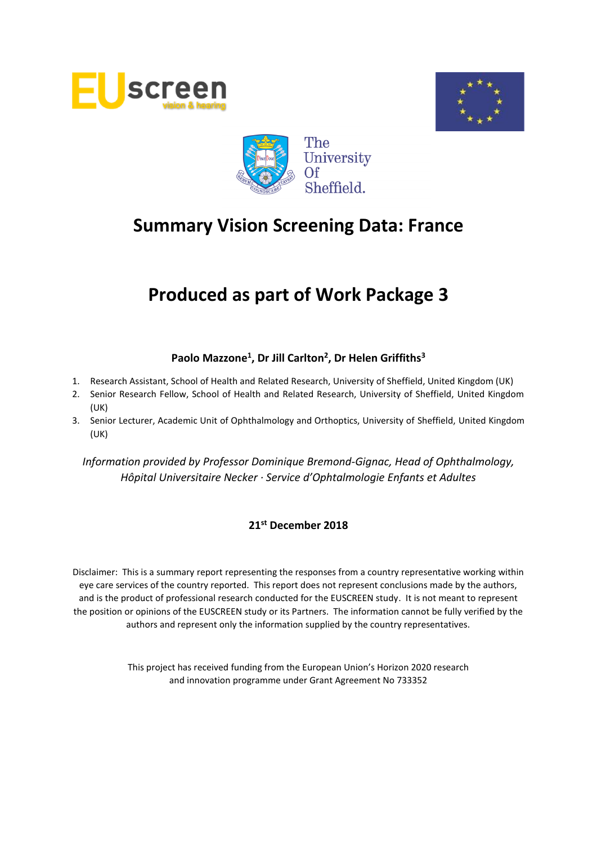





# **Produced as part of Work Package 3**

# **Paolo Mazzone<sup>1</sup> , Dr Jill Carlton<sup>2</sup> , Dr Helen Griffiths<sup>3</sup>**

- 1. Research Assistant, School of Health and Related Research, University of Sheffield, United Kingdom (UK)
- 2. Senior Research Fellow, School of Health and Related Research, University of Sheffield, United Kingdom (UK)
- 3. Senior Lecturer, Academic Unit of Ophthalmology and Orthoptics, University of Sheffield, United Kingdom (UK)

*Information provided by Professor Dominique Bremond-Gignac, Head of Ophthalmology, Hôpital Universitaire Necker · Service d'Ophtalmologie Enfants et Adultes*

# **21st December 2018**

Disclaimer: This is a summary report representing the responses from a country representative working within eye care services of the country reported. This report does not represent conclusions made by the authors, and is the product of professional research conducted for the EUSCREEN study. It is not meant to represent the position or opinions of the EUSCREEN study or its Partners. The information cannot be fully verified by the authors and represent only the information supplied by the country representatives.

> This project has received funding from the European Union's Horizon 2020 research and innovation programme under Grant Agreement No 733352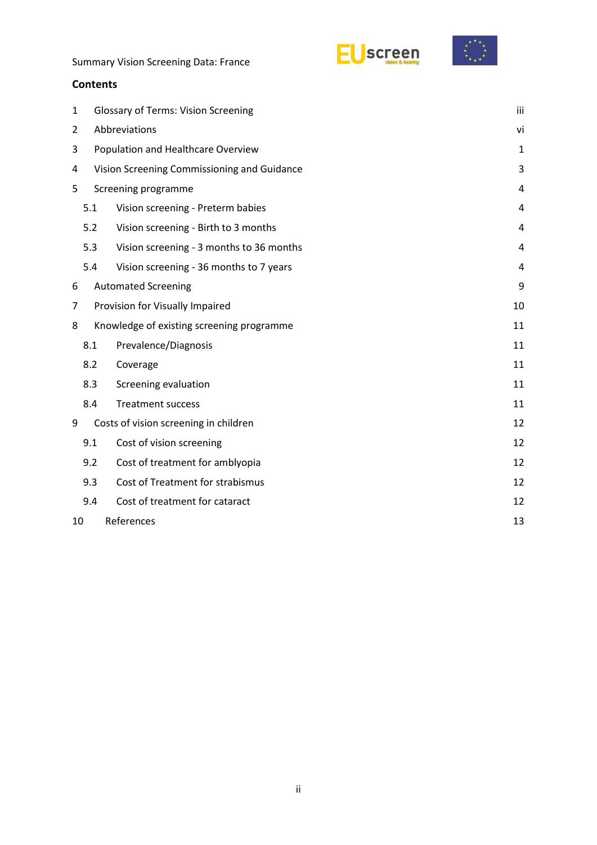



# **Contents**

| $\mathbf{1}$ |                  | iii<br><b>Glossary of Terms: Vision Screening</b> |    |  |  |  |  |
|--------------|------------------|---------------------------------------------------|----|--|--|--|--|
| 2            |                  | Abbreviations<br>vi                               |    |  |  |  |  |
| 3            |                  | Population and Healthcare Overview<br>1           |    |  |  |  |  |
| 4            |                  | Vision Screening Commissioning and Guidance       | 3  |  |  |  |  |
| 5            |                  | Screening programme                               | 4  |  |  |  |  |
|              | 5.1              | Vision screening - Preterm babies                 | 4  |  |  |  |  |
|              | 5.2              | Vision screening - Birth to 3 months              | 4  |  |  |  |  |
|              | 5.3              | Vision screening - 3 months to 36 months          | 4  |  |  |  |  |
|              | 5.4              | Vision screening - 36 months to 7 years           | 4  |  |  |  |  |
| 6            |                  | <b>Automated Screening</b>                        | 9  |  |  |  |  |
| 7            |                  | Provision for Visually Impaired<br>10             |    |  |  |  |  |
| 8            |                  | Knowledge of existing screening programme         | 11 |  |  |  |  |
|              | 8.1              | Prevalence/Diagnosis                              | 11 |  |  |  |  |
|              | 8.2              | Coverage                                          | 11 |  |  |  |  |
|              | 8.3              | Screening evaluation                              | 11 |  |  |  |  |
|              | 8.4              | <b>Treatment success</b>                          | 11 |  |  |  |  |
| 9            |                  | Costs of vision screening in children             | 12 |  |  |  |  |
|              | 9.1              | Cost of vision screening                          | 12 |  |  |  |  |
|              | 9.2              | Cost of treatment for amblyopia                   | 12 |  |  |  |  |
|              | 9.3              | Cost of Treatment for strabismus                  | 12 |  |  |  |  |
|              | 9.4              | Cost of treatment for cataract                    | 12 |  |  |  |  |
| 10           | References<br>13 |                                                   |    |  |  |  |  |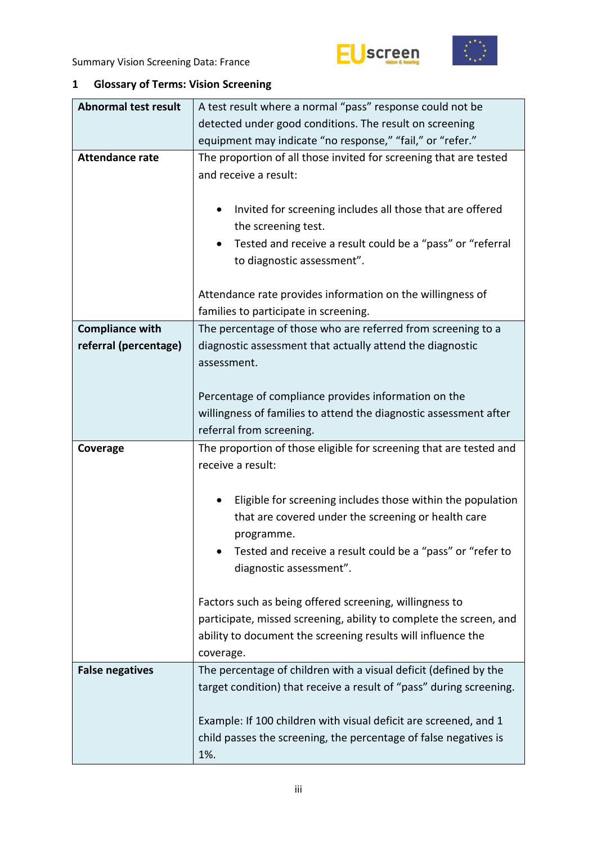





# <span id="page-2-0"></span>**1 Glossary of Terms: Vision Screening**

| <b>Abnormal test result</b> | A test result where a normal "pass" response could not be                                                                                                                                                  |  |  |  |  |
|-----------------------------|------------------------------------------------------------------------------------------------------------------------------------------------------------------------------------------------------------|--|--|--|--|
|                             | detected under good conditions. The result on screening                                                                                                                                                    |  |  |  |  |
|                             | equipment may indicate "no response," "fail," or "refer."                                                                                                                                                  |  |  |  |  |
| <b>Attendance rate</b>      | The proportion of all those invited for screening that are tested<br>and receive a result:                                                                                                                 |  |  |  |  |
|                             | Invited for screening includes all those that are offered<br>the screening test.                                                                                                                           |  |  |  |  |
|                             | Tested and receive a result could be a "pass" or "referral<br>to diagnostic assessment".                                                                                                                   |  |  |  |  |
|                             | Attendance rate provides information on the willingness of<br>families to participate in screening.                                                                                                        |  |  |  |  |
| <b>Compliance with</b>      | The percentage of those who are referred from screening to a                                                                                                                                               |  |  |  |  |
| referral (percentage)       | diagnostic assessment that actually attend the diagnostic<br>assessment.                                                                                                                                   |  |  |  |  |
|                             | Percentage of compliance provides information on the                                                                                                                                                       |  |  |  |  |
|                             | willingness of families to attend the diagnostic assessment after                                                                                                                                          |  |  |  |  |
|                             | referral from screening.                                                                                                                                                                                   |  |  |  |  |
|                             |                                                                                                                                                                                                            |  |  |  |  |
| Coverage                    | The proportion of those eligible for screening that are tested and<br>receive a result:                                                                                                                    |  |  |  |  |
|                             | Eligible for screening includes those within the population<br>that are covered under the screening or health care<br>programme.                                                                           |  |  |  |  |
|                             | Tested and receive a result could be a "pass" or "refer to<br>diagnostic assessment".                                                                                                                      |  |  |  |  |
|                             | Factors such as being offered screening, willingness to<br>participate, missed screening, ability to complete the screen, and<br>ability to document the screening results will influence the<br>coverage. |  |  |  |  |
| <b>False negatives</b>      | The percentage of children with a visual deficit (defined by the<br>target condition) that receive a result of "pass" during screening.                                                                    |  |  |  |  |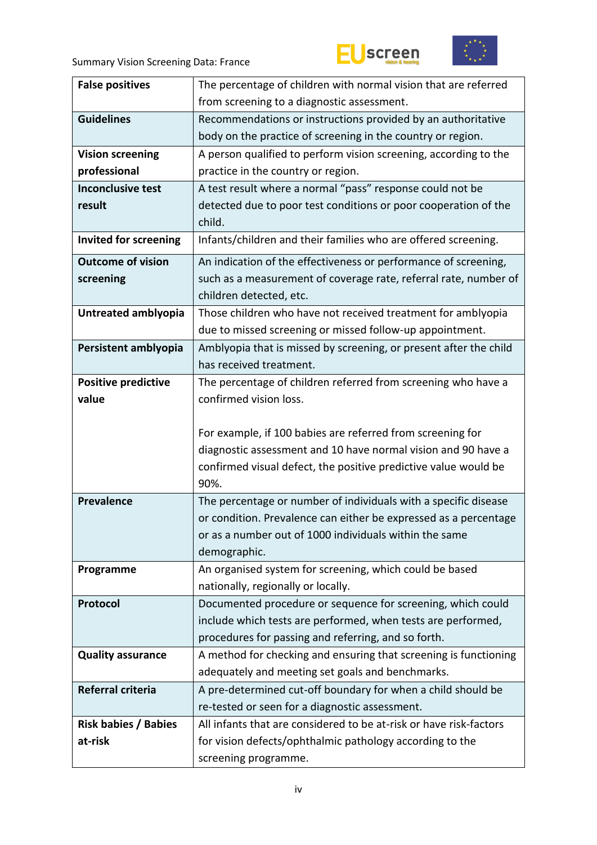



| <b>False positives</b>       | The percentage of children with normal vision that are referred         |
|------------------------------|-------------------------------------------------------------------------|
|                              | from screening to a diagnostic assessment.                              |
| <b>Guidelines</b>            | Recommendations or instructions provided by an authoritative            |
|                              | body on the practice of screening in the country or region.             |
| <b>Vision screening</b>      | A person qualified to perform vision screening, according to the        |
| professional                 | practice in the country or region.                                      |
| <b>Inconclusive test</b>     | A test result where a normal "pass" response could not be               |
| result                       | detected due to poor test conditions or poor cooperation of the         |
|                              | child.                                                                  |
| <b>Invited for screening</b> | Infants/children and their families who are offered screening.          |
| <b>Outcome of vision</b>     | An indication of the effectiveness or performance of screening,         |
| screening                    | such as a measurement of coverage rate, referral rate, number of        |
|                              | children detected, etc.                                                 |
| Untreated amblyopia          | Those children who have not received treatment for amblyopia            |
|                              | due to missed screening or missed follow-up appointment.                |
| Persistent amblyopia         | Amblyopia that is missed by screening, or present after the child       |
|                              | has received treatment.                                                 |
| <b>Positive predictive</b>   | The percentage of children referred from screening who have a           |
| value                        | confirmed vision loss.                                                  |
|                              |                                                                         |
|                              | For example, if 100 babies are referred from screening for              |
|                              | diagnostic assessment and 10 have normal vision and 90 have a           |
|                              | confirmed visual defect, the positive predictive value would be         |
|                              | 90%.                                                                    |
| <b>Prevalence</b>            | The percentage or number of individuals with a specific disease         |
|                              | or condition. Prevalence can either be expressed as a percentage        |
|                              | or as a number out of 1000 individuals within the same                  |
|                              | demographic.<br>An organised system for screening, which could be based |
| Programme                    | nationally, regionally or locally.                                      |
| Protocol                     | Documented procedure or sequence for screening, which could             |
|                              | include which tests are performed, when tests are performed,            |
|                              | procedures for passing and referring, and so forth.                     |
| <b>Quality assurance</b>     | A method for checking and ensuring that screening is functioning        |
|                              | adequately and meeting set goals and benchmarks.                        |
| Referral criteria            | A pre-determined cut-off boundary for when a child should be            |
|                              | re-tested or seen for a diagnostic assessment.                          |
| <b>Risk babies / Babies</b>  | All infants that are considered to be at-risk or have risk-factors      |
| at-risk                      | for vision defects/ophthalmic pathology according to the                |
|                              | screening programme.                                                    |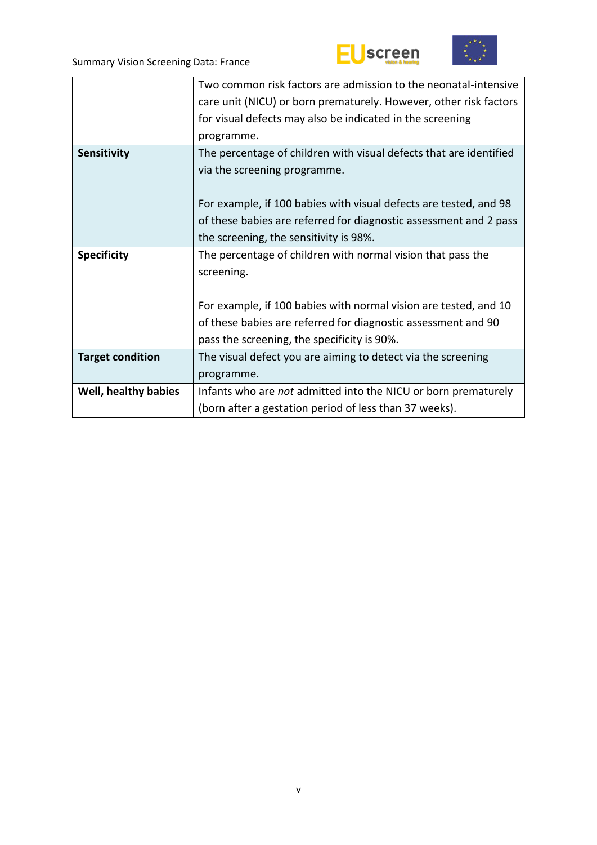



|                         | Two common risk factors are admission to the neonatal-intensive    |
|-------------------------|--------------------------------------------------------------------|
|                         | care unit (NICU) or born prematurely. However, other risk factors  |
|                         | for visual defects may also be indicated in the screening          |
|                         | programme.                                                         |
| Sensitivity             | The percentage of children with visual defects that are identified |
|                         | via the screening programme.                                       |
|                         |                                                                    |
|                         | For example, if 100 babies with visual defects are tested, and 98  |
|                         | of these babies are referred for diagnostic assessment and 2 pass  |
|                         | the screening, the sensitivity is 98%.                             |
| <b>Specificity</b>      | The percentage of children with normal vision that pass the        |
|                         | screening.                                                         |
|                         |                                                                    |
|                         | For example, if 100 babies with normal vision are tested, and 10   |
|                         | of these babies are referred for diagnostic assessment and 90      |
|                         | pass the screening, the specificity is 90%.                        |
| <b>Target condition</b> | The visual defect you are aiming to detect via the screening       |
|                         | programme.                                                         |
| Well, healthy babies    | Infants who are not admitted into the NICU or born prematurely     |
|                         | (born after a gestation period of less than 37 weeks).             |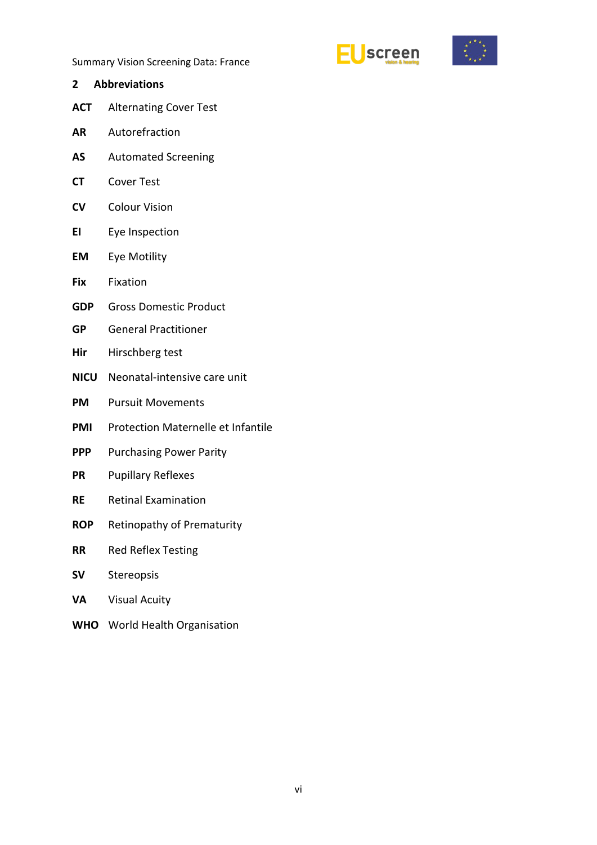



- <span id="page-5-0"></span>**2 Abbreviations ACT** Alternating Cover Test **AR** Autorefraction **AS** Automated Screening **CT** Cover Test **CV** Colour Vision **EI** Eye Inspection **EM** Eye Motility **Fix** Fixation **GDP** Gross Domestic Product **GP** General Practitioner **Hir** Hirschberg test **NICU** Neonatal-intensive care unit **PM** Pursuit Movements **PMI** Protection Maternelle et Infantile **PPP** Purchasing Power Parity **PR** Pupillary Reflexes **RE** Retinal Examination **ROP** Retinopathy of Prematurity **RR** Red Reflex Testing **SV** Stereopsis **VA** Visual Acuity
- **WHO** World Health Organisation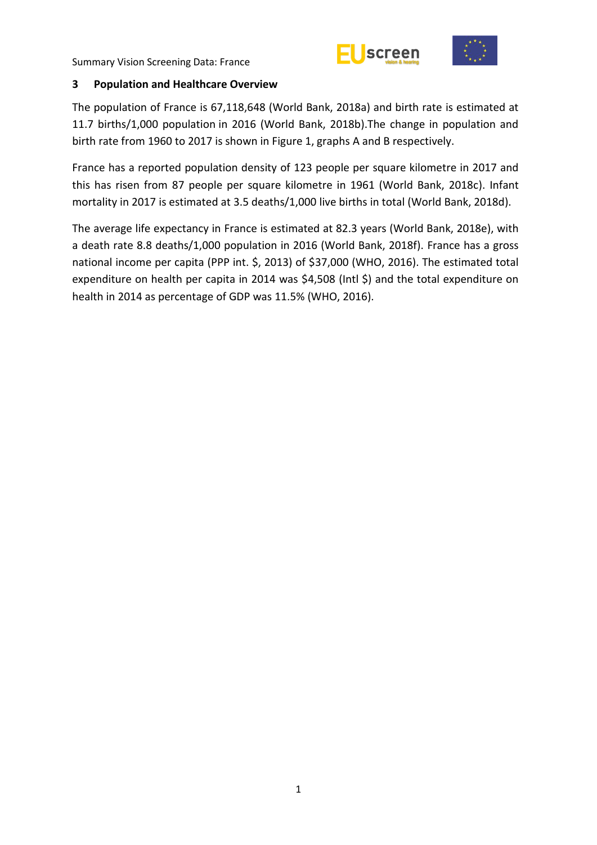



## <span id="page-6-0"></span>**3 Population and Healthcare Overview**

The population of France is 67,118,648 (World Bank, 2018a) and birth rate is estimated at 11.7 births/1,000 population in 2016 (World Bank, 2018b).The change in population and birth rate from 1960 to 2017 is shown in Figure 1, graphs A and B respectively.

France has a reported population density of 123 people per square kilometre in 2017 and this has risen from 87 people per square kilometre in 1961 (World Bank, 2018c). Infant mortality in 2017 is estimated at 3.5 deaths/1,000 live births in total (World Bank, 2018d).

The average life expectancy in France is estimated at 82.3 years (World Bank, 2018e), with a death rate 8.8 deaths/1,000 population in 2016 (World Bank, 2018f). France has a gross national income per capita (PPP int. \$, 2013) of \$37,000 (WHO, 2016). The estimated total expenditure on health per capita in 2014 was \$4,508 (Intl \$) and the total expenditure on health in 2014 as percentage of GDP was 11.5% (WHO, 2016).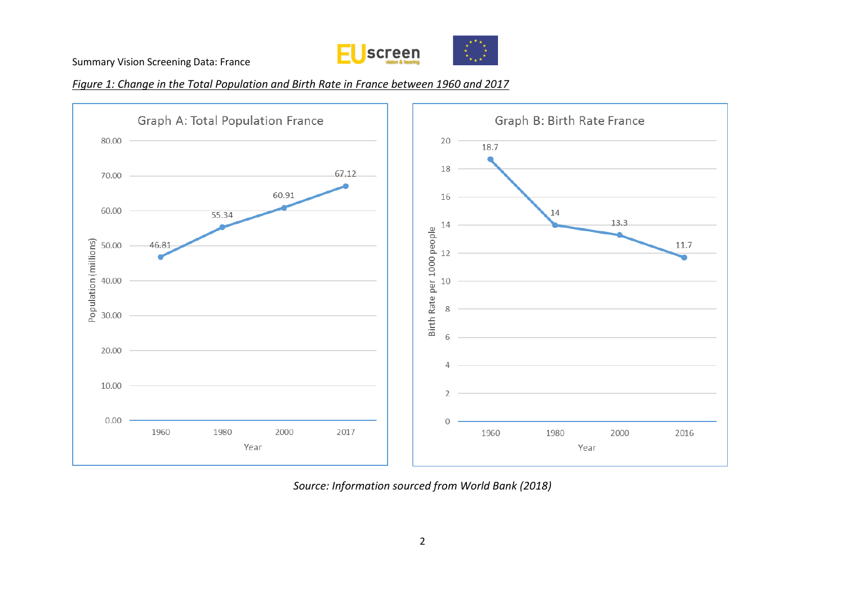

*Figure 1: Change in the Total Population and Birth Rate in France between 1960 and 2017*



*Source: Information sourced from World Bank (2018)*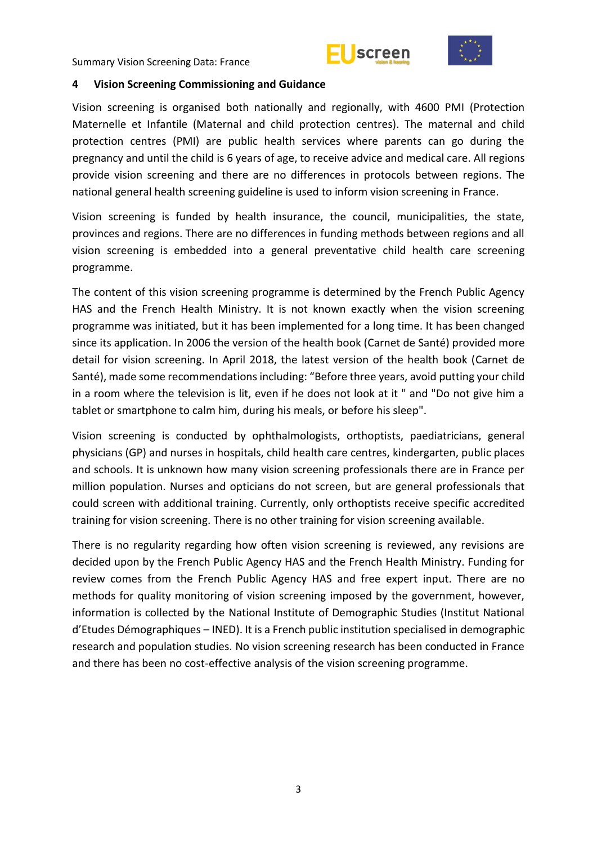



#### <span id="page-8-0"></span>**4 Vision Screening Commissioning and Guidance**

Vision screening is organised both nationally and regionally, with 4600 PMI (Protection Maternelle et Infantile (Maternal and child protection centres). The maternal and child protection centres (PMI) are public health services where parents can go during the pregnancy and until the child is 6 years of age, to receive advice and medical care. All regions provide vision screening and there are no differences in protocols between regions. The national general health screening guideline is used to inform vision screening in France.

Vision screening is funded by health insurance, the council, municipalities, the state, provinces and regions. There are no differences in funding methods between regions and all vision screening is embedded into a general preventative child health care screening programme.

The content of this vision screening programme is determined by the French Public Agency HAS and the French Health Ministry. It is not known exactly when the vision screening programme was initiated, but it has been implemented for a long time. It has been changed since its application. In 2006 the version of the health book (Carnet de Santé) provided more detail for vision screening. In April 2018, the latest version of the health book (Carnet de Santé), made some recommendations including: "Before three years, avoid putting your child in a room where the television is lit, even if he does not look at it " and "Do not give him a tablet or smartphone to calm him, during his meals, or before his sleep".

Vision screening is conducted by ophthalmologists, orthoptists, paediatricians, general physicians (GP) and nurses in hospitals, child health care centres, kindergarten, public places and schools. It is unknown how many vision screening professionals there are in France per million population. Nurses and opticians do not screen, but are general professionals that could screen with additional training. Currently, only orthoptists receive specific accredited training for vision screening. There is no other training for vision screening available.

There is no regularity regarding how often vision screening is reviewed, any revisions are decided upon by the French Public Agency HAS and the French Health Ministry. Funding for review comes from the French Public Agency HAS and free expert input. There are no methods for quality monitoring of vision screening imposed by the government, however, information is collected by the National Institute of Demographic Studies (Institut National d'Etudes Démographiques – INED). It is a French public institution specialised in demographic research and population studies. No vision screening research has been conducted in France and there has been no cost-effective analysis of the vision screening programme.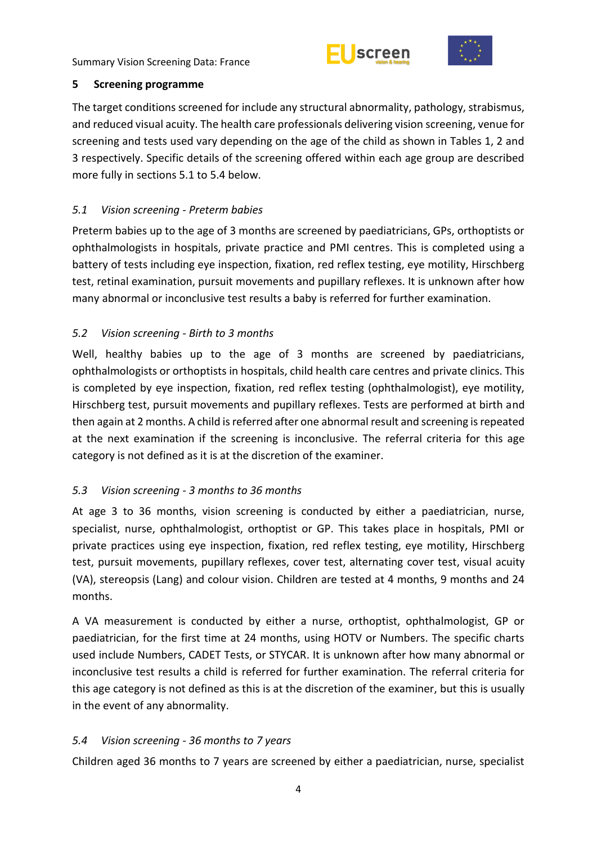



## <span id="page-9-0"></span>**5 Screening programme**

The target conditions screened for include any structural abnormality, pathology, strabismus, and reduced visual acuity. The health care professionals delivering vision screening, venue for screening and tests used vary depending on the age of the child as shown in Tables 1, 2 and 3 respectively. Specific details of the screening offered within each age group are described more fully in sections 5.1 to 5.4 below.

# <span id="page-9-1"></span>*5.1 Vision screening - Preterm babies*

Preterm babies up to the age of 3 months are screened by paediatricians, GPs, orthoptists or ophthalmologists in hospitals, private practice and PMI centres. This is completed using a battery of tests including eye inspection, fixation, red reflex testing, eye motility, Hirschberg test, retinal examination, pursuit movements and pupillary reflexes. It is unknown after how many abnormal or inconclusive test results a baby is referred for further examination.

# <span id="page-9-2"></span>*5.2 Vision screening - Birth to 3 months*

Well, healthy babies up to the age of 3 months are screened by paediatricians, ophthalmologists or orthoptists in hospitals, child health care centres and private clinics. This is completed by eye inspection, fixation, red reflex testing (ophthalmologist), eye motility, Hirschberg test, pursuit movements and pupillary reflexes. Tests are performed at birth and then again at 2 months. A child is referred after one abnormal result and screening is repeated at the next examination if the screening is inconclusive. The referral criteria for this age category is not defined as it is at the discretion of the examiner.

# <span id="page-9-3"></span>*5.3 Vision screening - 3 months to 36 months*

At age 3 to 36 months, vision screening is conducted by either a paediatrician, nurse, specialist, nurse, ophthalmologist, orthoptist or GP. This takes place in hospitals, PMI or private practices using eye inspection, fixation, red reflex testing, eye motility, Hirschberg test, pursuit movements, pupillary reflexes, cover test, alternating cover test, visual acuity (VA), stereopsis (Lang) and colour vision. Children are tested at 4 months, 9 months and 24 months.

A VA measurement is conducted by either a nurse, orthoptist, ophthalmologist, GP or paediatrician, for the first time at 24 months, using HOTV or Numbers. The specific charts used include Numbers, CADET Tests, or STYCAR. It is unknown after how many abnormal or inconclusive test results a child is referred for further examination. The referral criteria for this age category is not defined as this is at the discretion of the examiner, but this is usually in the event of any abnormality.

# <span id="page-9-4"></span>*5.4 Vision screening - 36 months to 7 years*

Children aged 36 months to 7 years are screened by either a paediatrician, nurse, specialist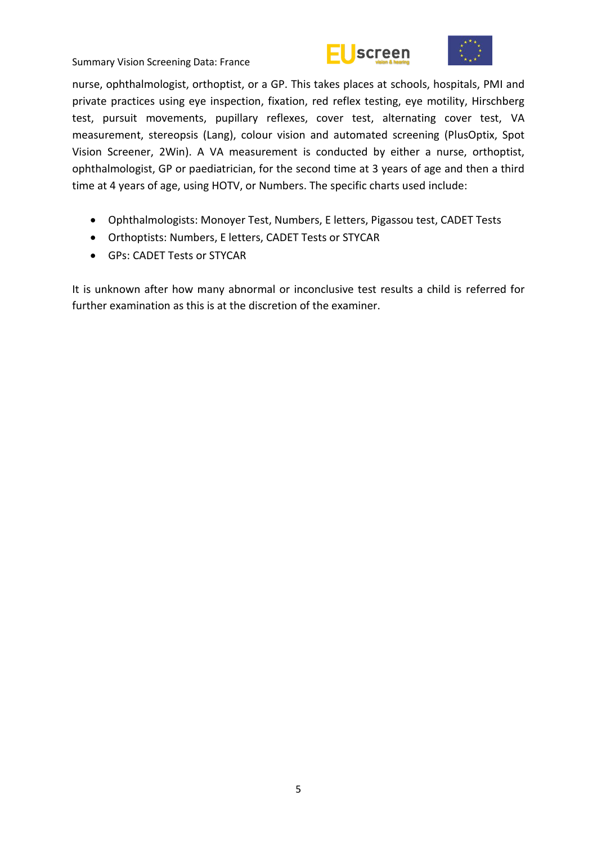



nurse, ophthalmologist, orthoptist, or a GP. This takes places at schools, hospitals, PMI and private practices using eye inspection, fixation, red reflex testing, eye motility, Hirschberg test, pursuit movements, pupillary reflexes, cover test, alternating cover test, VA measurement, stereopsis (Lang), colour vision and automated screening (PlusOptix, Spot Vision Screener, 2Win). A VA measurement is conducted by either a nurse, orthoptist, ophthalmologist, GP or paediatrician, for the second time at 3 years of age and then a third time at 4 years of age, using HOTV, or Numbers. The specific charts used include:

- Ophthalmologists: Monoyer Test, Numbers, E letters, Pigassou test, CADET Tests
- Orthoptists: Numbers, E letters, CADET Tests or STYCAR
- GPs: CADET Tests or STYCAR

It is unknown after how many abnormal or inconclusive test results a child is referred for further examination as this is at the discretion of the examiner.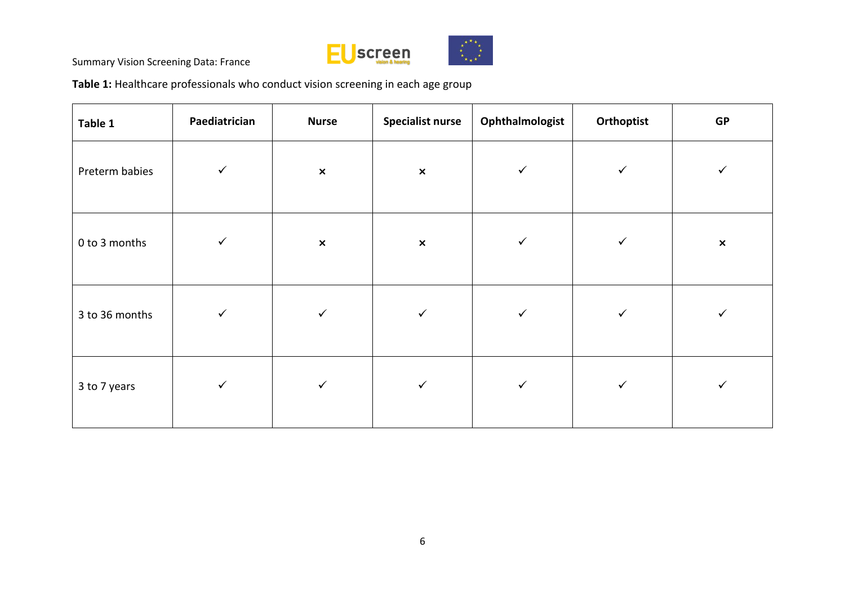

**Table 1:** Healthcare professionals who conduct vision screening in each age group

| Table 1        | Paediatrician | <b>Nurse</b>   | <b>Specialist nurse</b> | Ophthalmologist | Orthoptist   | <b>GP</b>      |
|----------------|---------------|----------------|-------------------------|-----------------|--------------|----------------|
| Preterm babies | $\checkmark$  | $\pmb{\times}$ | $\pmb{\times}$          | $\checkmark$    | $\checkmark$ | ✓              |
| 0 to 3 months  | $\checkmark$  | $\pmb{\times}$ | $\pmb{\times}$          | $\checkmark$    | $\checkmark$ | $\pmb{\times}$ |
| 3 to 36 months | $\checkmark$  | $\checkmark$   | $\checkmark$            | $\checkmark$    | $\checkmark$ | ✓              |
| 3 to 7 years   | $\checkmark$  | $\checkmark$   | $\checkmark$            | $\checkmark$    | $\checkmark$ | ✓              |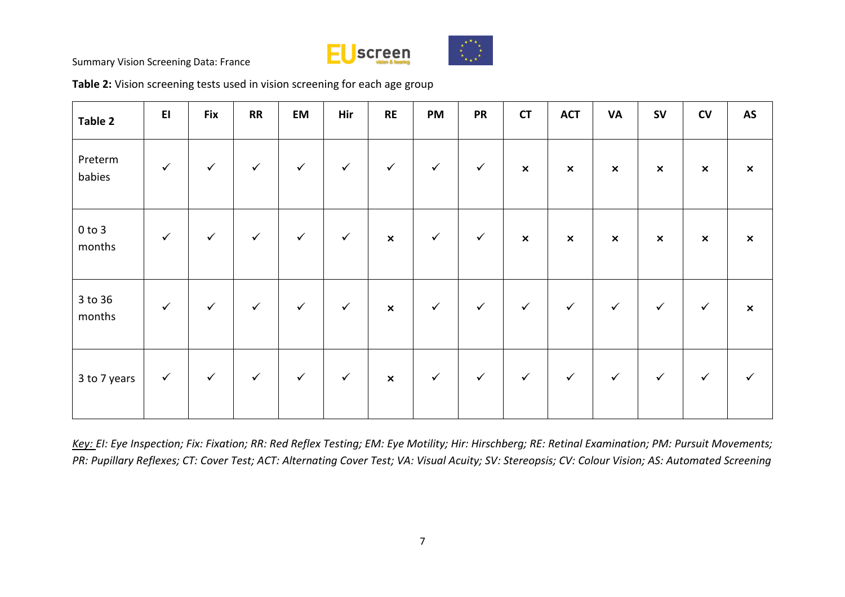



**Table 2:** Vision screening tests used in vision screening for each age group

| Table 2              | E1           | <b>Fix</b>   | RR           | EM           | Hir          | RE                        | <b>PM</b>    | <b>PR</b>    | $\mathsf{C}\mathsf{T}$    | <b>ACT</b>     | <b>VA</b>      | ${\sf SV}$                | ${\sf CV}$     | AS                        |
|----------------------|--------------|--------------|--------------|--------------|--------------|---------------------------|--------------|--------------|---------------------------|----------------|----------------|---------------------------|----------------|---------------------------|
| Preterm<br>babies    | $\checkmark$ | $\checkmark$ | $\checkmark$ | $\checkmark$ | $\checkmark$ | $\checkmark$              | $\checkmark$ | $\checkmark$ | $\boldsymbol{\mathsf{x}}$ | $\pmb{\times}$ | $\pmb{\times}$ | $\pmb{\times}$            | $\pmb{\times}$ | $\pmb{\times}$            |
| $0$ to $3$<br>months | $\checkmark$ | $\checkmark$ | $\checkmark$ | $\checkmark$ | $\checkmark$ | $\boldsymbol{\mathsf{x}}$ | $\checkmark$ | $\checkmark$ | $\boldsymbol{\mathsf{x}}$ | $\pmb{\times}$ | $\pmb{\times}$ | $\boldsymbol{\mathsf{x}}$ | $\pmb{\times}$ | $\boldsymbol{\mathsf{x}}$ |
| 3 to 36<br>months    | $\checkmark$ | $\checkmark$ | $\checkmark$ | $\checkmark$ | $\checkmark$ | $\pmb{\times}$            | $\checkmark$ | $\checkmark$ | $\checkmark$              | $\checkmark$   | $\checkmark$   | $\checkmark$              | $\checkmark$   | $\pmb{\times}$            |
| 3 to 7 years         | $\checkmark$ | $\checkmark$ | $\checkmark$ | $\checkmark$ | $\checkmark$ | $\mathsf{x}$              | $\checkmark$ | $\checkmark$ | $\checkmark$              | $\checkmark$   | $\checkmark$   | $\checkmark$              | $\checkmark$   | $\checkmark$              |

*Key: EI: Eye Inspection; Fix: Fixation; RR: Red Reflex Testing; EM: Eye Motility; Hir: Hirschberg; RE: Retinal Examination; PM: Pursuit Movements; PR: Pupillary Reflexes; CT: Cover Test; ACT: Alternating Cover Test; VA: Visual Acuity; SV: Stereopsis; CV: Colour Vision; AS: Automated Screening*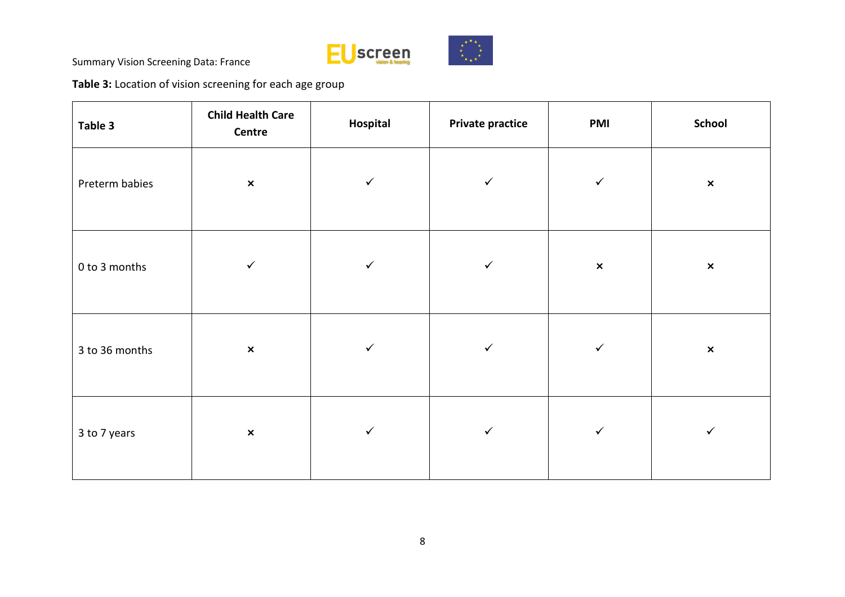

**Table 3:** Location of vision screening for each age group

| Table 3        | <b>Child Health Care</b><br>Centre | Hospital     |              | <b>PMI</b>     | School         |  |
|----------------|------------------------------------|--------------|--------------|----------------|----------------|--|
| Preterm babies | $\pmb{\times}$                     | $\checkmark$ | $\checkmark$ | $\checkmark$   | $\pmb{\times}$ |  |
| 0 to 3 months  | $\checkmark$                       | $\checkmark$ | $\checkmark$ | $\pmb{\times}$ | $\pmb{\times}$ |  |
| 3 to 36 months | $\pmb{\times}$                     | $\checkmark$ | $\checkmark$ | $\checkmark$   | $\pmb{\times}$ |  |
| 3 to 7 years   | $\pmb{\times}$                     | $\checkmark$ | $\checkmark$ | $\checkmark$   | ✓              |  |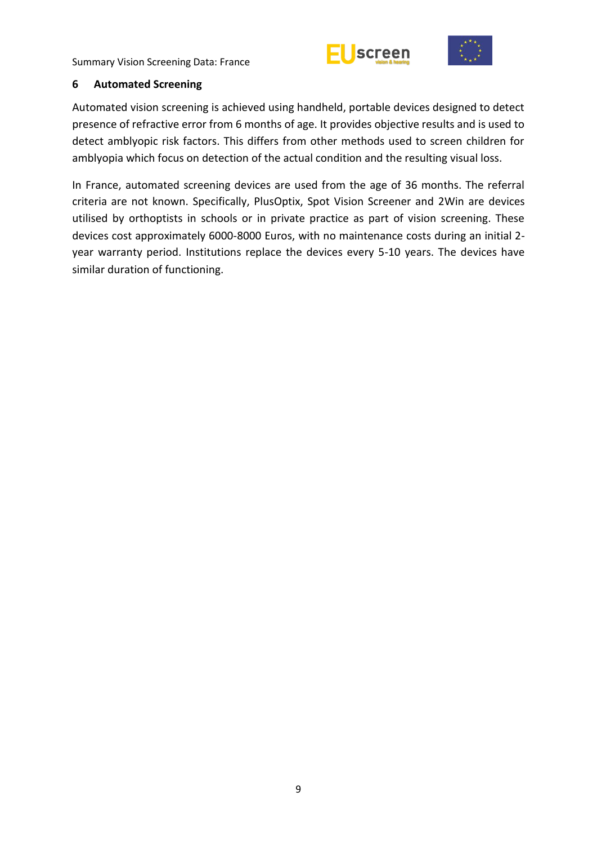



#### <span id="page-14-0"></span>**6 Automated Screening**

Automated vision screening is achieved using handheld, portable devices designed to detect presence of refractive error from 6 months of age. It provides objective results and is used to detect amblyopic risk factors. This differs from other methods used to screen children for amblyopia which focus on detection of the actual condition and the resulting visual loss.

In France, automated screening devices are used from the age of 36 months. The referral criteria are not known. Specifically, PlusOptix, Spot Vision Screener and 2Win are devices utilised by orthoptists in schools or in private practice as part of vision screening. These devices cost approximately 6000-8000 Euros, with no maintenance costs during an initial 2 year warranty period. Institutions replace the devices every 5-10 years. The devices have similar duration of functioning.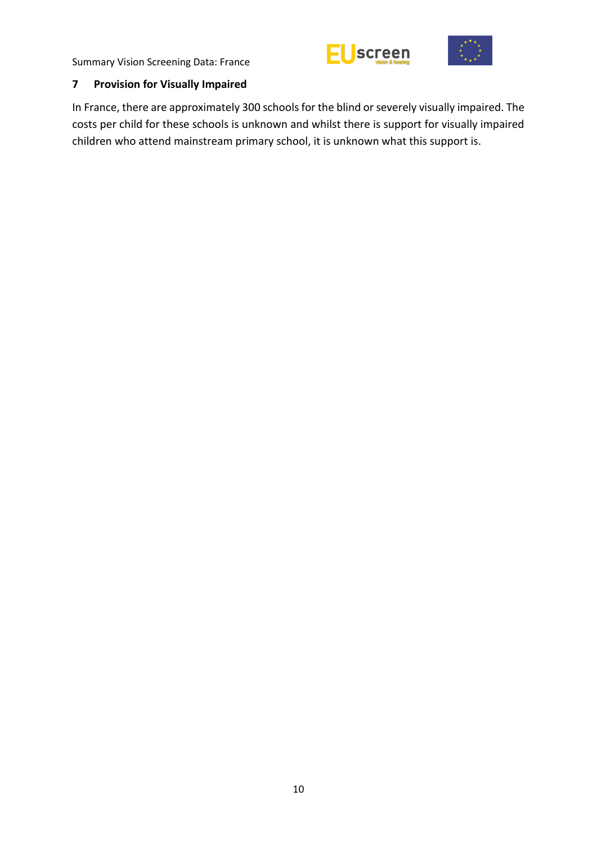



# <span id="page-15-0"></span>**7 Provision for Visually Impaired**

In France, there are approximately 300 schools for the blind or severely visually impaired. The costs per child for these schools is unknown and whilst there is support for visually impaired children who attend mainstream primary school, it is unknown what this support is.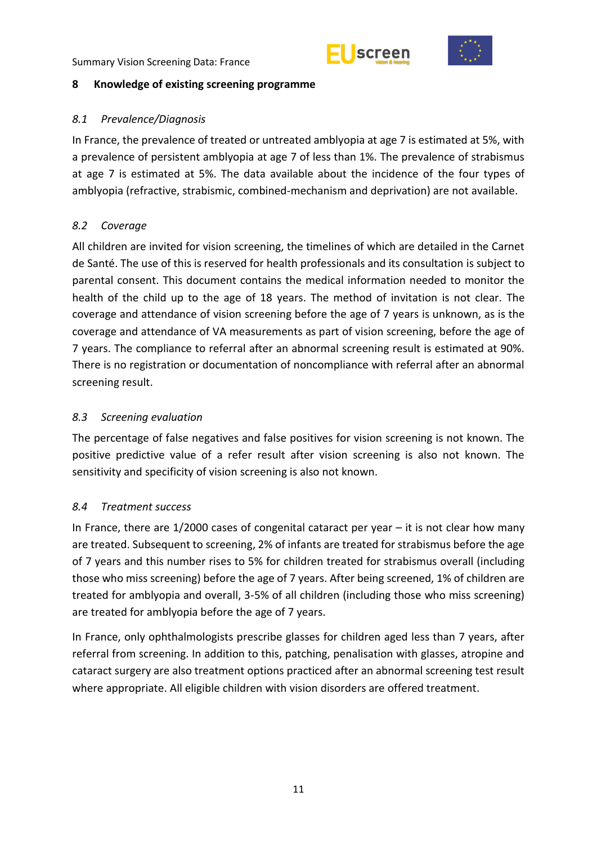



## <span id="page-16-0"></span>**8 Knowledge of existing screening programme**

## <span id="page-16-1"></span>*8.1 Prevalence/Diagnosis*

In France, the prevalence of treated or untreated amblyopia at age 7 is estimated at 5%, with a prevalence of persistent amblyopia at age 7 of less than 1%. The prevalence of strabismus at age 7 is estimated at 5%. The data available about the incidence of the four types of amblyopia (refractive, strabismic, combined-mechanism and deprivation) are not available.

# <span id="page-16-2"></span>*8.2 Coverage*

All children are invited for vision screening, the timelines of which are detailed in the Carnet de Santé. The use of this is reserved for health professionals and its consultation is subject to parental consent. This document contains the medical information needed to monitor the health of the child up to the age of 18 years. The method of invitation is not clear. The coverage and attendance of vision screening before the age of 7 years is unknown, as is the coverage and attendance of VA measurements as part of vision screening, before the age of 7 years. The compliance to referral after an abnormal screening result is estimated at 90%. There is no registration or documentation of noncompliance with referral after an abnormal screening result.

## <span id="page-16-3"></span>*8.3 Screening evaluation*

The percentage of false negatives and false positives for vision screening is not known. The positive predictive value of a refer result after vision screening is also not known. The sensitivity and specificity of vision screening is also not known.

# <span id="page-16-4"></span>*8.4 Treatment success*

In France, there are  $1/2000$  cases of congenital cataract per year  $-$  it is not clear how many are treated. Subsequent to screening, 2% of infants are treated for strabismus before the age of 7 years and this number rises to 5% for children treated for strabismus overall (including those who miss screening) before the age of 7 years. After being screened, 1% of children are treated for amblyopia and overall, 3-5% of all children (including those who miss screening) are treated for amblyopia before the age of 7 years.

In France, only ophthalmologists prescribe glasses for children aged less than 7 years, after referral from screening. In addition to this, patching, penalisation with glasses, atropine and cataract surgery are also treatment options practiced after an abnormal screening test result where appropriate. All eligible children with vision disorders are offered treatment.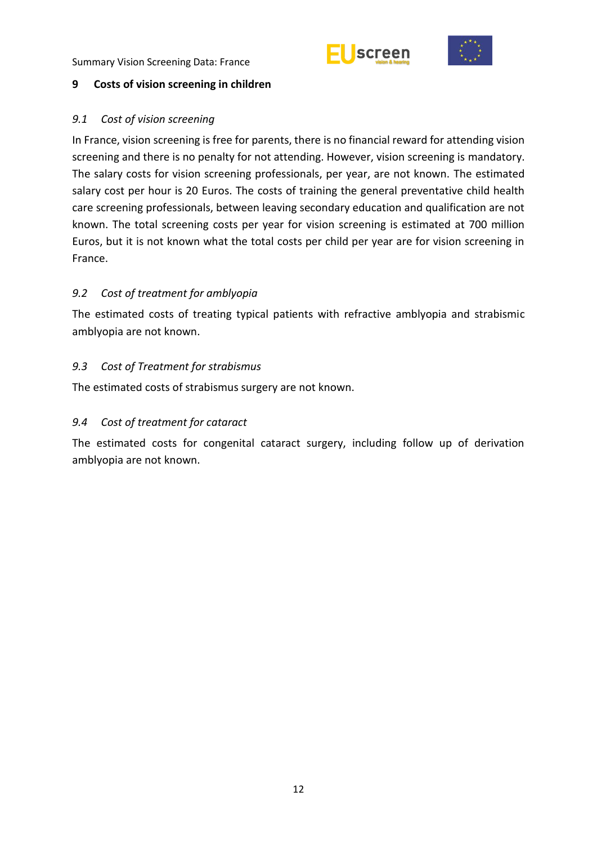



## <span id="page-17-0"></span>**9 Costs of vision screening in children**

## <span id="page-17-1"></span>*9.1 Cost of vision screening*

In France, vision screening is free for parents, there is no financial reward for attending vision screening and there is no penalty for not attending. However, vision screening is mandatory. The salary costs for vision screening professionals, per year, are not known. The estimated salary cost per hour is 20 Euros. The costs of training the general preventative child health care screening professionals, between leaving secondary education and qualification are not known. The total screening costs per year for vision screening is estimated at 700 million Euros, but it is not known what the total costs per child per year are for vision screening in France.

# <span id="page-17-2"></span>*9.2 Cost of treatment for amblyopia*

The estimated costs of treating typical patients with refractive amblyopia and strabismic amblyopia are not known.

# <span id="page-17-3"></span>*9.3 Cost of Treatment for strabismus*

The estimated costs of strabismus surgery are not known.

# <span id="page-17-4"></span>*9.4 Cost of treatment for cataract*

The estimated costs for congenital cataract surgery, including follow up of derivation amblyopia are not known.